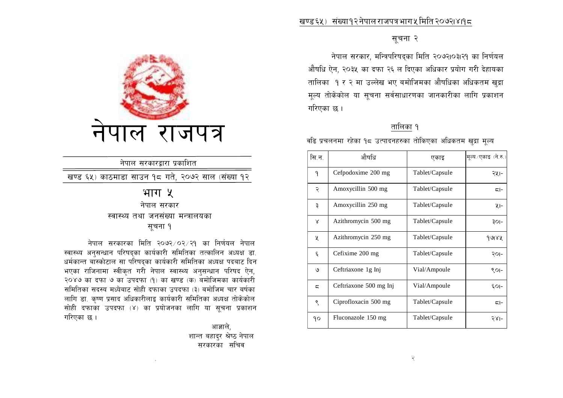### सूचना २

नेपाल सरकार, मन्त्रिपरिषद्का मिति २०७२।०३।२१ का निर्णयल औषधि ऐन. २०३५ का दफा २६ ल दिएका अधिकार प्रयोग गरी देहायका तालिका १ र २ मा उल्लेख भए बमोजिमका औषधिका अधिकतम खुद्रा मूल्य तोकेकोल या सूचना सर्वसाधारणका जानकारीका लागि प्रकाशन गरिएका छ ।

## तालिका १

वढि प्रचलनमा रहेका १८ उत्पादनहरुका तोकिएका अधिकतम खुद्रा मूल्य

| सि.न.                    | औषधि                   | एकाइ           | मूल्य ⁄ एकाइ (ने.रु.) |
|--------------------------|------------------------|----------------|-----------------------|
| ٩                        | Cefpodoxime 200 mg     | Tablet/Capsule | २५।-                  |
| २                        | Amoxycillin 500 mg     | Tablet/Capsule | $\overline{5}$ -      |
| ₹                        | Amoxycillin 250 mg     | Tablet/Capsule | ५।-                   |
| X                        | Azithromycin 500 mg    | Tablet/Capsule | ३०।-                  |
| χ                        | Azithromycin 250 mg    | Tablet/Capsule | १७४५                  |
| ६                        | Cefixime 200 mg        | Tablet/Capsule | २०।-                  |
| ৩                        | Ceftriaxone 1g Inj     | Vial/Ampoule   | $SOI$ -               |
| $\overline{\phantom{a}}$ | Ceftriaxone 500 mg Inj | Vial/Ampoule   | $50-$                 |
| ९                        | Ciprofloxacin 500 mg   | Tablet/Capsule | $\overline{5}$ -      |
| ٩ο                       | Fluconazole 150 mg     | Tablet/Capsule | २४।-                  |



## नेपाल सरकारद्वारा प्रकाशित

खण्ड ६५) काठमाडा साउन १८ गते, २०७२ साल (संख्या १२

## भाग ५ नेपाल सरकार

## स्वास्थ्य तथा जनसंख्या मन्त्रालयका

## सूचना १

नेपाल सरकारका मिति २०७२/०२/२१ का निर्णयल नेपाल स्वास्थ्य अनुसन्धान परिषद्का कार्यकारी समितिका तत्कालिन अध्यक्ष डा. धर्मकान्त बास्कोटाल सा परिषद्का कार्यकारी समितिका अध्यक्ष पदबाट दिन भएका राजिनामा स्वीकृत गरी नेपाल स्वास्थ्य अनुसन्धान परिषद ऐन, २०४७ का दफा ७ का उपदफा (१) का खण्ड (क) बमोजिमका कार्यकारी समितिका सदस्य मध्येबाट सोही दफाका उपदफा (३) बमोजिम चार बर्षका लागि डा. कृष्ण प्रसाद अधिकारीलाइ कार्यकारी समितिका अध्यक्ष तोकेकोल सोही दफाका उपदफा (४) का प्रयोजनका लागि या सूचना प्रकाशन गरिएका छ ।

> आज्ञाले. शान्त बहादुर श्रेष्ठ नेपाल सरकारका सचिव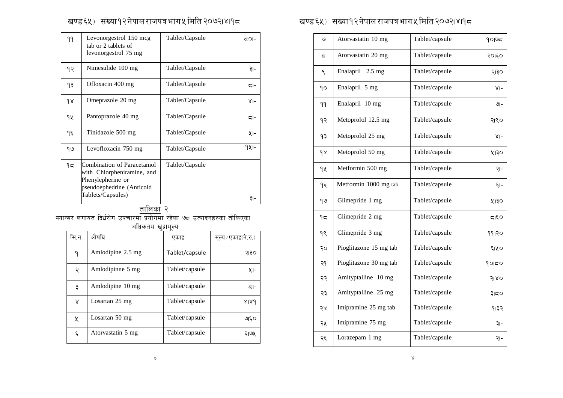| ۹۹ | Levonorgestrol 150 mcg<br>tab or 2 tablets of<br>levonorgestrol 75 mg                                                           | Tablet/Capsule | 5이-              |
|----|---------------------------------------------------------------------------------------------------------------------------------|----------------|------------------|
| १२ | Nimesulide 100 mg                                                                                                               | Tablet/Capsule | ३।−              |
| ۹३ | Ofloxacin 400 mg                                                                                                                | Tablet/Capsule | $\overline{5}$ - |
| 98 | Omeprazole 20 mg                                                                                                                | Tablet/Capsule | $8 -$            |
| १५ | Pantoprazole 40 mg                                                                                                              | Tablet/Capsule | $\overline{5}$ - |
| ۹६ | Tinidazole 500 mg                                                                                                               | Tablet/Capsule | ५।-              |
| 99 | Levofloxacin 750 mg                                                                                                             | Tablet/Capsule | 921-             |
| 95 | Combination of Paracetamol<br>with Chlorpheniramine, and<br>Phenylepherine or<br>pseudoephedrine (Anticold<br>Tablets/Capsules) | Tablet/Capsule | ३।−              |
|    | $\sim$                                                                                                                          |                |                  |

<u>तालिका</u> २

क्यान्सर लगायत दिर्धरोग उपचारमा प्रयोगमा रहेका ७<del>८</del> उत्पादनहरुका तोकिएका

अधिकतम खुद्रामुल्य

| सि.न.              | औषधि              | एकाइ           | मूल्य / एकाइ(ने.रु.) |
|--------------------|-------------------|----------------|----------------------|
| ٩                  | Amlodipine 2.5 mg | Tablet/capsule | २।३०                 |
| २                  | Amlodipinne 5 mg  | Tablet/capsule | ५।-                  |
| ३                  | Amlodipine 10 mg  | Tablet/capsule | $\overline{5}$ -     |
| Χ                  | Losartan 25 mg    | Tablet/capsule | 8189                 |
| Χ                  | Losartan 50 mg    | Tablet/capsule | ७६०                  |
| $\boldsymbol{\xi}$ | Atorvastatin 5 mg | Tablet/capsule | ६।७५                 |

## v08^%\_ ;+Vof!@g]kfn/fhkqefu%ldlt@)&@.\$.!\* v08^%\_ ;+Vof!@g]kfn/fhkqefu%ldlt@)&@.\$.!\*

| ও                        | Atorvastatin 10 mg     | Tablet/capsule | 9005  |
|--------------------------|------------------------|----------------|-------|
| $\overline{\phantom{a}}$ | Atorvastatin 20 mg     | Tablet/capsule | २०१६० |
| ९                        | Enalapril 2.5 mg       | Tablet/capsule | २।३०  |
| ٩o                       | Enalapril 5 mg         | Tablet/capsule | $8 -$ |
| 99                       | Enalapril 10 mg        | Tablet/capsule | ৩৷-   |
| ٩R                       | Metoprolol 12.5 mg     | Tablet/capsule | २।९०  |
| ۹३                       | Metoprolol 25 mg       | Tablet/capsule | $8 -$ |
| $\gamma$                 | Metoprolol 50 mg       | Tablet/capsule | ५ा३०  |
| 92                       | Metformin 500 mg       | Tablet/capsule | २।-   |
| ۹६                       | Metformin 1000 mg tab  | Tablet/capsule | ج1−   |
| 99                       | Glimepride 1 mg        | Tablet/capsule | ५ा३०  |
| 95                       | Glimepride 2 mg        | Tablet/capsule | 555   |
| 98                       | Glimepride 3 mg        | Tablet/capsule | 991२० |
| २०                       | Pioglitazone 15 mg tab | Tablet/capsule | ६।५०  |
| २१                       | Pioglitazone 30 mg tab | Tablet/capsule | 90150 |
| २२                       | Amityptalline 10 mg    | Tablet/capsule | २ा४०  |
| २३                       | Amityptalline 25 mg    | Tablet/capsule | ३।८०  |
| २४                       | Imipramine 25 mg tab   | Tablet/capsule | १।३२  |
| २५                       | Imipramine 75 mg       | Tablet/capsule | ३।-   |
| २६                       | Lorazepam 1 mg         | Tablet/capsule | २।-   |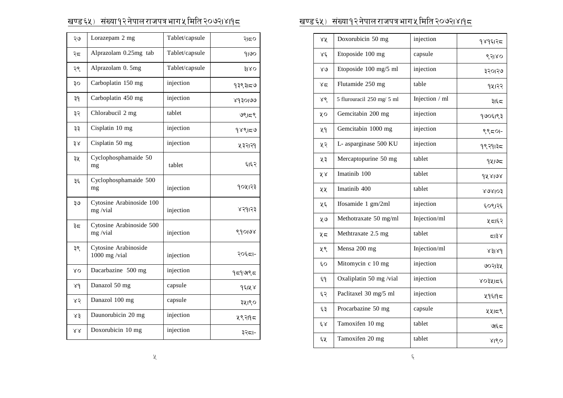| २७               | Lorazepam 2 mg                        | Tablet/capsule | २।८०    |
|------------------|---------------------------------------|----------------|---------|
| ২८               | Alprazolam 0.25mg tab                 | Tablet/capsule | 9100    |
| २९               | Alprazolam 0. 5mg                     | Tablet/capsule | 3180    |
| ३०               | Carboplatin 150 mg                    | injection      | १३९३।८७ |
| ३१               | Carboplatin 450 mg                    | injection      | ४१३०।७७ |
| ३२               | Chlorabucil 2 mg                      | tablet         | ७९।८९   |
| ३३               | Cisplatin 10 mg                       | injection      | 98950   |
| ३४               | Cisplatin 50 mg                       | injection      | ५३२।२१  |
| ३५               | Cyclophosphamaide 50<br>mg            | tablet         | ६।६२    |
| ३६               | Cyclophosphamaide 500<br>mg           | injection      | १०५१२३  |
| २७               | Cytosine Arabinoside 100<br>mg/vial   | injection      | ४२१।२३  |
| ३८               | Cytosine Arabinoside 500<br>mg/vial   | injection      | ९१०।७४  |
| ३९               | Cytosine Arabinoside<br>1000 mg /vial | injection      | २०६८।-  |
| ΥO               | Dacarbazine 500 mg                    | injection      | १८१७९८  |
| 88               | Danazol 50 mg                         | capsule        | १६।५४   |
| ४२               | Danazol 100 mg                        | capsule        | ३५१९०   |
| ४३               | Daunorubicin 20 mg                    | injection      | ५९२११८  |
| $\lambda\lambda$ | Doxorubicin 10 mg                     | injection      | ३२८।-   |

# v08^%\_ ;+Vof!@g]kfn/fhkqefu%ldlt@)&@.\$.!\* v08^%\_ ;+Vof!@g]kfn/fhkqefu%ldlt@)&@.\$.!\*

| ४५            | Doxorubicin 50 mg          | injection      | १४१६1२८            |
|---------------|----------------------------|----------------|--------------------|
| $\lambda \xi$ | Etoposide 100 mg           | capsule        | ९२ा४०              |
| $80^{\circ}$  | Etoposide 100 mg/5 ml      | injection      | ३२०१२७             |
| 85            | Flutamide 250 mg           | table          | १५१२२              |
| ४९            | 5 flurouracil 250 mg/ 5 ml | Injection / ml | ३।६⊄               |
| ųο            | Gemcitabin 200 mg          | injection      | १७०६।९३            |
| ५१            | Gemcitabin 1000 mg         | injection      | ९९८०१-             |
| ५२            | L- asparginase 500 KU      | injection      | १९२१।३८            |
| ५३            | Mercaptopurine 50 mg       | tablet         | १५७८               |
| ४४            | Imatinib 100               | tablet         | 928198             |
| ५५            | Imatinib 400               | tablet         | 808103             |
| ५६            | Ifosamide 1 gm/2ml         | injection      | ६०९।२६             |
| ५७            | Methotraxate 50 mg/ml      | Injection/ml   | प्रदा६२            |
| メニ            | Methtraxate 2.5 mg         | tablet         | 55                 |
| ५९            | Mensa 200 mg               | Injection/ml   | 8318d              |
| Ę٥            | Mitomycin c 10 mg          | injection      | ७०२।३५             |
| ६٩            | Oxaliplatin 50 mg /vial    | injection      | ४०३५।८६            |
| ६२            | Paclitaxel 30 mg/5 ml      | injection      | ५१६१९८             |
| ६३            | Procarbazine 50 mg         | capsule        | ५५।८९              |
| $\xi \chi$    | Tamoxifen 10 mg            | tablet         | $\mathcal{G}(\xi)$ |
| ६५            | Tamoxifen 20 mg            | tablet         | 8180               |